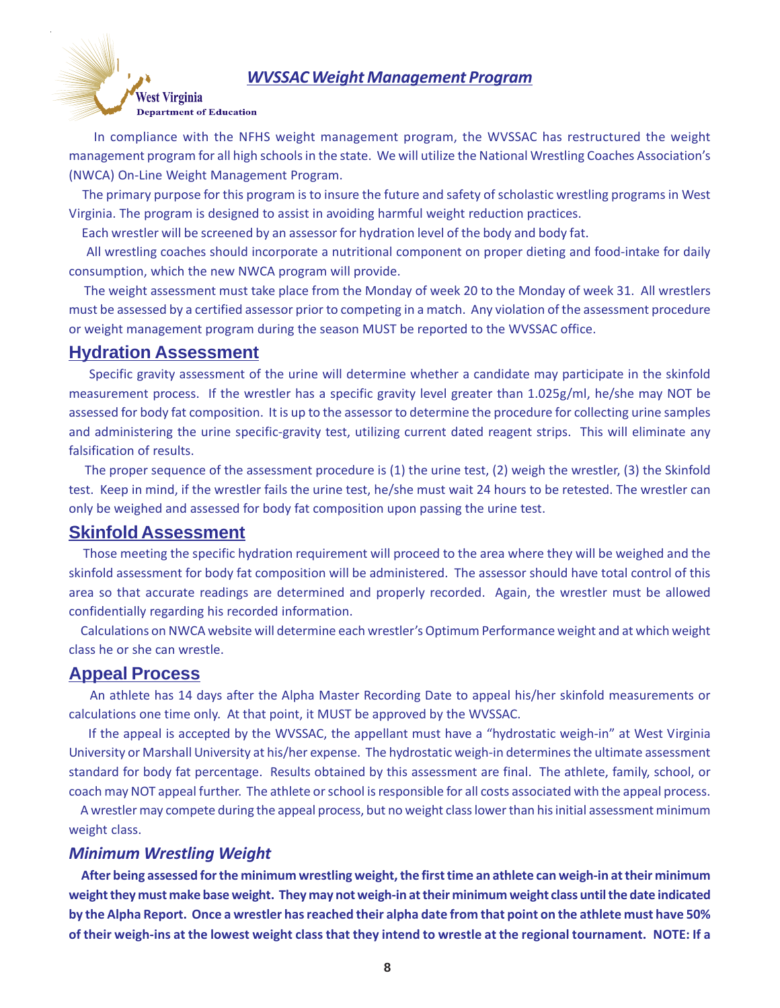## *WVSSAC Weight Management Program*



 In compliance with the NFHS weight management program, the WVSSAC has restructured the weight management program for all high schools in the state. We will utilize the National Wrestling Coaches Association's (NWCA) On-Line Weight Management Program.

 The primary purpose for this program is to insure the future and safety of scholastic wrestling programs in West Virginia. The program is designed to assist in avoiding harmful weight reduction practices.

Each wrestler will be screened by an assessor for hydration level of the body and body fat.

 All wrestling coaches should incorporate a nutritional component on proper dieting and food-intake for daily consumption, which the new NWCA program will provide.

 The weight assessment must take place from the Monday of week 20 to the Monday of week 31. All wrestlers must be assessed by a certified assessor prior to competing in a match. Any violation of the assessment procedure or weight management program during the season MUST be reported to the WVSSAC office.

# **Hydration Assessment**

Specific gravity assessment of the urine will determine whether a candidate may participate in the skinfold measurement process. If the wrestler has a specific gravity level greater than 1.025g/ml, he/she may NOT be assessed for body fat composition. It is up to the assessor to determine the procedure for collecting urine samples and administering the urine specific-gravity test, utilizing current dated reagent strips. This will eliminate any falsification of results.

 The proper sequence of the assessment procedure is (1) the urine test, (2) weigh the wrestler, (3) the Skinfold test. Keep in mind, if the wrestler fails the urine test, he/she must wait 24 hours to be retested. The wrestler can only be weighed and assessed for body fat composition upon passing the urine test.

# **Skinfold Assessment**

 Those meeting the specific hydration requirement will proceed to the area where they will be weighed and the skinfold assessment for body fat composition will be administered. The assessor should have total control of this area so that accurate readings are determined and properly recorded. Again, the wrestler must be allowed confidentially regarding his recorded information.

 Calculations on NWCA website will determine each wrestler's Optimum Performance weight and at which weight class he or she can wrestle.

# **Appeal Process**

 An athlete has 14 days after the Alpha Master Recording Date to appeal his/her skinfold measurements or calculations one time only. At that point, it MUST be approved by the WVSSAC.

 If the appeal is accepted by the WVSSAC, the appellant must have a "hydrostatic weigh-in" at West Virginia University or Marshall University at his/her expense. The hydrostatic weigh-in determines the ultimate assessment standard for body fat percentage. Results obtained by this assessment are final. The athlete, family, school, or coach may NOT appeal further. The athlete or school is responsible for all costs associated with the appeal process.

 A wrestler may compete during the appeal process, but no weight class lower than his initial assessment minimum weight class.

## *Minimum Wrestling Weight*

 **After being assessed for the minimum wrestling weight, the first time an athlete can weigh-in at their minimum weight they must make base weight. They may not weigh-in at their minimum weight class until the date indicated by the Alpha Report. Once a wrestler has reached their alpha date from that point on the athlete must have 50% of their weigh-ins at the lowest weight class that they intend to wrestle at the regional tournament. NOTE: If a**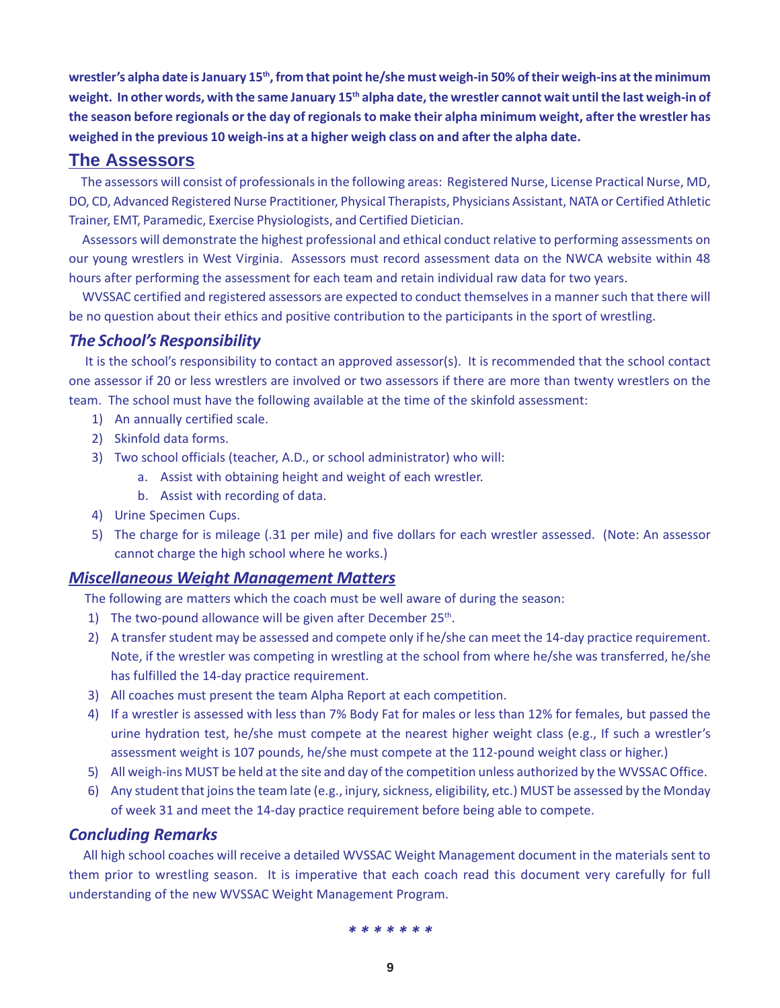**wrestler's alpha date is January 15th, from that point he/she must weigh-in 50% of their weigh-ins at the minimum weight. In other words, with the same January 15th alpha date, the wrestler cannot wait until the last weigh-in of the season before regionals or the day of regionals to make their alpha minimum weight, after the wrestler has weighed in the previous 10 weigh-ins at a higher weigh class on and after the alpha date.**

# **The Assessors**

 The assessors will consist of professionals in the following areas: Registered Nurse, License Practical Nurse, MD, DO, CD, Advanced Registered Nurse Practitioner, Physical Therapists, Physicians Assistant, NATA or Certified Athletic Trainer, EMT, Paramedic, Exercise Physiologists, and Certified Dietician.

 Assessors will demonstrate the highest professional and ethical conduct relative to performing assessments on our young wrestlers in West Virginia. Assessors must record assessment data on the NWCA website within 48 hours after performing the assessment for each team and retain individual raw data for two years.

 WVSSAC certified and registered assessors are expected to conduct themselves in a manner such that there will be no question about their ethics and positive contribution to the participants in the sport of wrestling.

## *The School's Responsibility*

 It is the school's responsibility to contact an approved assessor(s). It is recommended that the school contact one assessor if 20 or less wrestlers are involved or two assessors if there are more than twenty wrestlers on the team. The school must have the following available at the time of the skinfold assessment:

- 1) An annually certified scale.
- 2) Skinfold data forms.
- 3) Two school officials (teacher, A.D., or school administrator) who will:
	- a. Assist with obtaining height and weight of each wrestler.
	- b. Assist with recording of data.
- 4) Urine Specimen Cups.
- 5) The charge for is mileage (.31 per mile) and five dollars for each wrestler assessed. (Note: An assessor cannot charge the high school where he works.)

## *Miscellaneous Weight Management Matters*

The following are matters which the coach must be well aware of during the season:

- 1) The two-pound allowance will be given after December  $25<sup>th</sup>$ .
- 2) A transfer student may be assessed and compete only if he/she can meet the 14-day practice requirement. Note, if the wrestler was competing in wrestling at the school from where he/she was transferred, he/she has fulfilled the 14-day practice requirement.
- 3) All coaches must present the team Alpha Report at each competition.
- 4) If a wrestler is assessed with less than 7% Body Fat for males or less than 12% for females, but passed the urine hydration test, he/she must compete at the nearest higher weight class (e.g., If such a wrestler's assessment weight is 107 pounds, he/she must compete at the 112-pound weight class or higher.)
- 5) All weigh-ins MUST be held at the site and day of the competition unless authorized by the WVSSAC Office.
- 6) Any student that joins the team late (e.g., injury, sickness, eligibility, etc.) MUST be assessed by the Monday of week 31 and meet the 14-day practice requirement before being able to compete.

## *Concluding Remarks*

 All high school coaches will receive a detailed WVSSAC Weight Management document in the materials sent to them prior to wrestling season. It is imperative that each coach read this document very carefully for full understanding of the new WVSSAC Weight Management Program.

#### *\* \* \* \* \* \* \**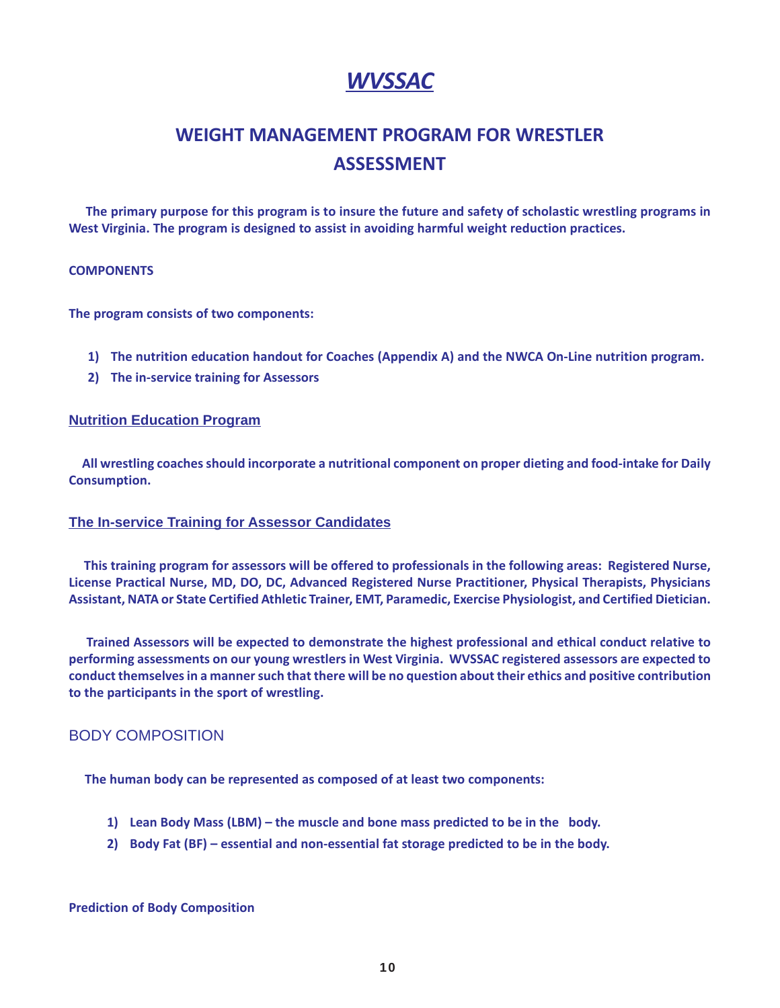# *WVSSAC*

# **WEIGHT MANAGEMENT PROGRAM FOR WRESTLER ASSESSMENT**

 **The primary purpose for this program is to insure the future and safety of scholastic wrestling programs in West Virginia. The program is designed to assist in avoiding harmful weight reduction practices.**

#### **COMPONENTS**

**The program consists of two components:**

- **1) The nutrition education handout for Coaches (Appendix A) and the NWCA On-Line nutrition program.**
- **2) The in-service training for Assessors**

### **Nutrition Education Program**

 **All wrestling coaches should incorporate a nutritional component on proper dieting and food-intake for Daily Consumption.**

## **The In-service Training for Assessor Candidates**

 **This training program for assessors will be offered to professionals in the following areas: Registered Nurse, License Practical Nurse, MD, DO, DC, Advanced Registered Nurse Practitioner, Physical Therapists, Physicians Assistant, NATA or State Certified Athletic Trainer, EMT, Paramedic, Exercise Physiologist, and Certified Dietician.**

 **Trained Assessors will be expected to demonstrate the highest professional and ethical conduct relative to performing assessments on our young wrestlers in West Virginia. WVSSAC registered assessors are expected to conduct themselves in a manner such that there will be no question about their ethics and positive contribution to the participants in the sport of wrestling.**

# BODY COMPOSITION

**The human body can be represented as composed of at least two components:**

- **1) Lean Body Mass (LBM) the muscle and bone mass predicted to be in the body.**
- **2) Body Fat (BF) essential and non-essential fat storage predicted to be in the body.**

#### **Prediction of Body Composition**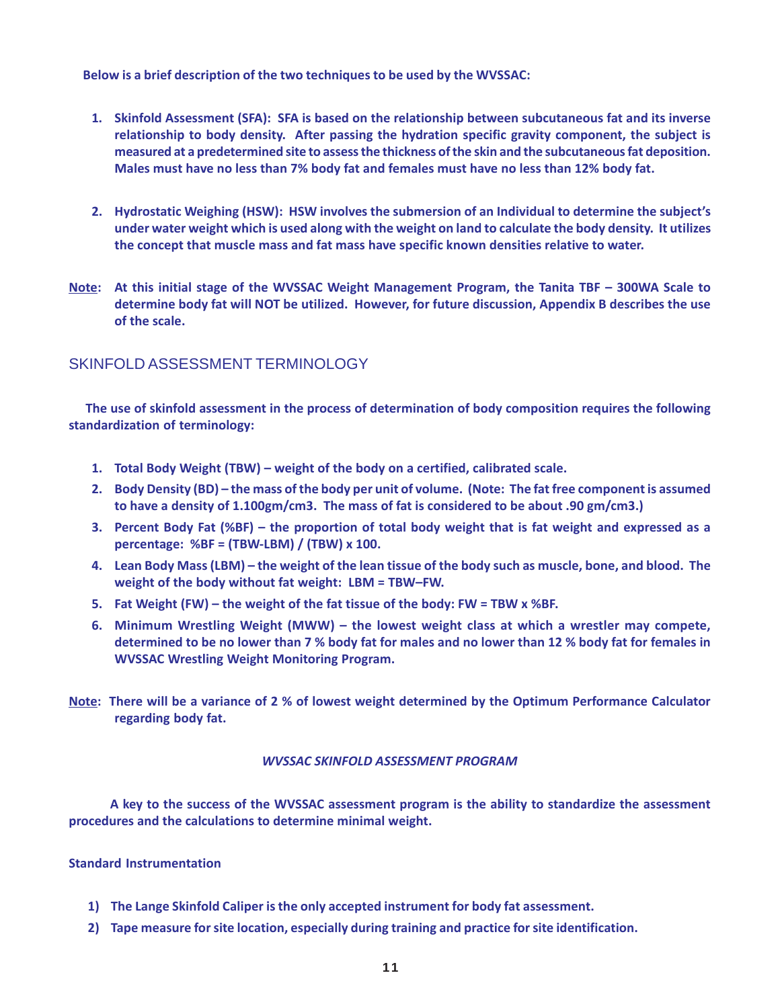**Below is a brief description of the two techniques to be used by the WVSSAC:**

- **1. Skinfold Assessment (SFA): SFA is based on the relationship between subcutaneous fat and its inverse relationship to body density. After passing the hydration specific gravity component, the subject is measured at a predetermined site to assess the thickness of the skin and the subcutaneous fat deposition. Males must have no less than 7% body fat and females must have no less than 12% body fat.**
- **2. Hydrostatic Weighing (HSW): HSW involves the submersion of an Individual to determine the subject's under water weight which is used along with the weight on land to calculate the body density. It utilizes the concept that muscle mass and fat mass have specific known densities relative to water.**
- **Note: At this initial stage of the WVSSAC Weight Management Program, the Tanita TBF 300WA Scale to determine body fat will NOT be utilized. However, for future discussion, Appendix B describes the use of the scale.**

# SKINFOLD ASSESSMENT TERMINOLOGY

 **The use of skinfold assessment in the process of determination of body composition requires the following standardization of terminology:**

- **1. Total Body Weight (TBW) weight of the body on a certified, calibrated scale.**
- **2. Body Density (BD) the mass of the body per unit of volume. (Note: The fat free component is assumed to have a density of 1.100gm/cm3. The mass of fat is considered to be about .90 gm/cm3.)**
- **3. Percent Body Fat (%BF) the proportion of total body weight that is fat weight and expressed as a percentage: %BF = (TBW-LBM) / (TBW) x 100.**
- **4. Lean Body Mass (LBM) the weight of the lean tissue of the body such as muscle, bone, and blood. The weight of the body without fat weight: LBM = TBW–FW.**
- **5. Fat Weight (FW) the weight of the fat tissue of the body: FW = TBW x %BF.**
- **6. Minimum Wrestling Weight (MWW) the lowest weight class at which a wrestler may compete, determined to be no lower than 7 % body fat for males and no lower than 12 % body fat for females in WVSSAC Wrestling Weight Monitoring Program.**
- **Note: There will be a variance of 2 % of lowest weight determined by the Optimum Performance Calculator regarding body fat.**

#### *WVSSAC SKINFOLD ASSESSMENT PROGRAM*

 **A key to the success of the WVSSAC assessment program is the ability to standardize the assessment procedures and the calculations to determine minimal weight.**

#### **Standard Instrumentation**

- **1) The Lange Skinfold Caliper is the only accepted instrument for body fat assessment.**
- **2) Tape measure for site location, especially during training and practice for site identification.**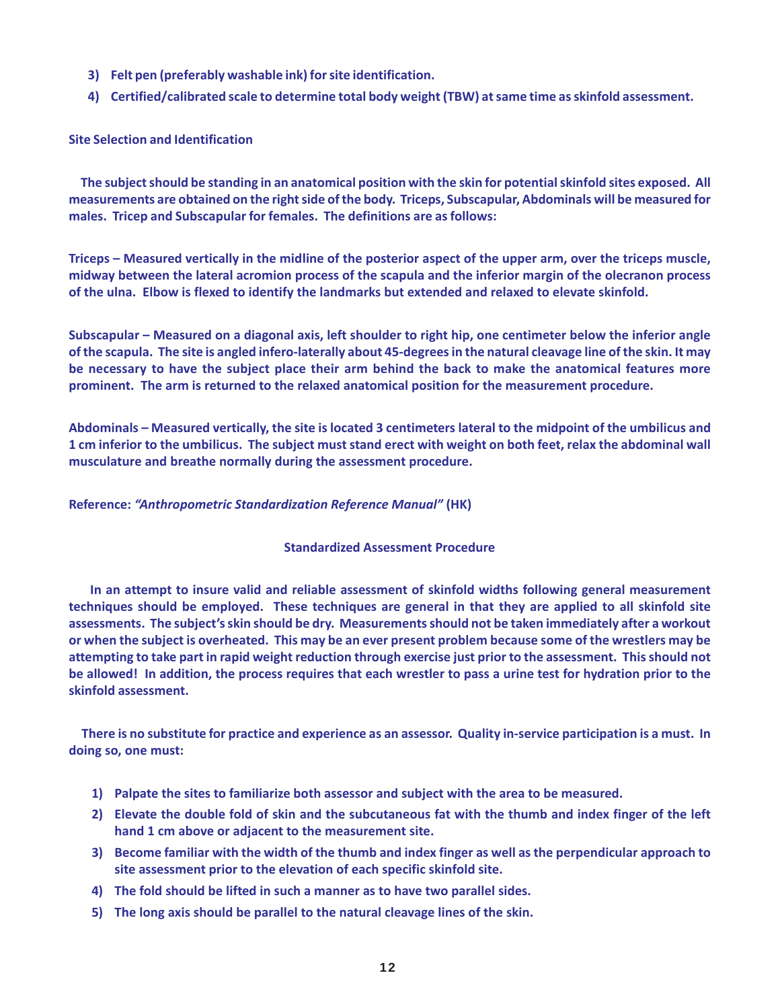- **3) Felt pen (preferably washable ink) for site identification.**
- **4) Certified/calibrated scale to determine total body weight (TBW) at same time as skinfold assessment.**

### **Site Selection and Identification**

 **The subject should be standing in an anatomical position with the skin for potential skinfold sites exposed. All measurements are obtained on the right side of the body. Triceps, Subscapular, Abdominals will be measured for males. Tricep and Subscapular for females. The definitions are as follows:**

**Triceps – Measured vertically in the midline of the posterior aspect of the upper arm, over the triceps muscle, midway between the lateral acromion process of the scapula and the inferior margin of the olecranon process of the ulna. Elbow is flexed to identify the landmarks but extended and relaxed to elevate skinfold.**

**Subscapular – Measured on a diagonal axis, left shoulder to right hip, one centimeter below the inferior angle of the scapula. The site is angled infero-laterally about 45-degrees in the natural cleavage line of the skin. It may be necessary to have the subject place their arm behind the back to make the anatomical features more prominent. The arm is returned to the relaxed anatomical position for the measurement procedure.**

**Abdominals – Measured vertically, the site is located 3 centimeters lateral to the midpoint of the umbilicus and 1 cm inferior to the umbilicus. The subject must stand erect with weight on both feet, relax the abdominal wall musculature and breathe normally during the assessment procedure.**

### **Reference:** *"Anthropometric Standardization Reference Manual"* **(HK)**

#### **Standardized Assessment Procedure**

 **In an attempt to insure valid and reliable assessment of skinfold widths following general measurement techniques should be employed. These techniques are general in that they are applied to all skinfold site assessments. The subject's skin should be dry. Measurements should not be taken immediately after a workout or when the subject is overheated. This may be an ever present problem because some of the wrestlers may be attempting to take part in rapid weight reduction through exercise just prior to the assessment. This should not be allowed! In addition, the process requires that each wrestler to pass a urine test for hydration prior to the skinfold assessment.**

 **There is no substitute for practice and experience as an assessor. Quality in-service participation is a must. In doing so, one must:**

- **1) Palpate the sites to familiarize both assessor and subject with the area to be measured.**
- **2) Elevate the double fold of skin and the subcutaneous fat with the thumb and index finger of the left hand 1 cm above or adjacent to the measurement site.**
- **3) Become familiar with the width of the thumb and index finger as well as the perpendicular approach to site assessment prior to the elevation of each specific skinfold site.**
- **4) The fold should be lifted in such a manner as to have two parallel sides.**
- **5) The long axis should be parallel to the natural cleavage lines of the skin.**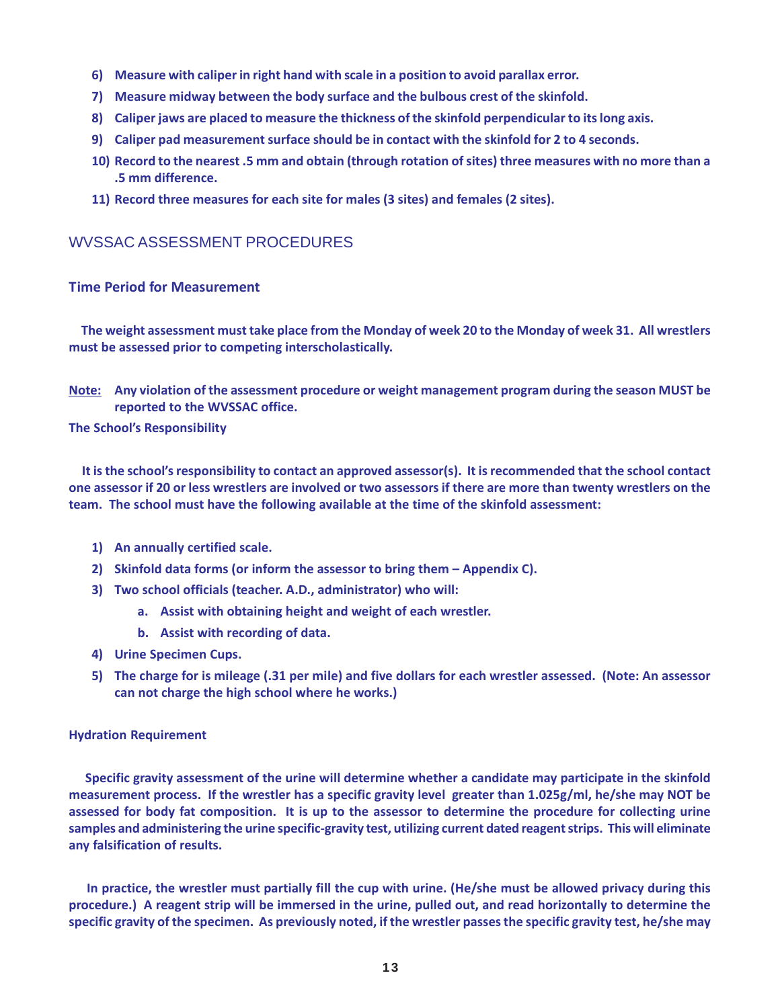- **6) Measure with caliper in right hand with scale in a position to avoid parallax error.**
- **7) Measure midway between the body surface and the bulbous crest of the skinfold.**
- **8) Caliper jaws are placed to measure the thickness of the skinfold perpendicular to its long axis.**
- **9) Caliper pad measurement surface should be in contact with the skinfold for 2 to 4 seconds.**
- **10) Record to the nearest .5 mm and obtain (through rotation of sites) three measures with no more than a .5 mm difference.**
- **11) Record three measures for each site for males (3 sites) and females (2 sites).**

# WVSSAC ASSESSMENT PROCEDURES

## **Time Period for Measurement**

 **The weight assessment must take place from the Monday of week 20 to the Monday of week 31. All wrestlers must be assessed prior to competing interscholastically.**

**Note: Any violation of the assessment procedure or weight management program during the season MUST be reported to the WVSSAC office.**

**The School's Responsibility**

 **It is the school's responsibility to contact an approved assessor(s). It is recommended that the school contact one assessor if 20 or less wrestlers are involved or two assessors if there are more than twenty wrestlers on the team. The school must have the following available at the time of the skinfold assessment:**

- **1) An annually certified scale.**
- **2) Skinfold data forms (or inform the assessor to bring them Appendix C).**
- **3) Two school officials (teacher. A.D., administrator) who will:**
	- **a. Assist with obtaining height and weight of each wrestler.**
	- **b. Assist with recording of data.**
- **4) Urine Specimen Cups.**
- **5) The charge for is mileage (.31 per mile) and five dollars for each wrestler assessed. (Note: An assessor can not charge the high school where he works.)**

#### **Hydration Requirement**

 **Specific gravity assessment of the urine will determine whether a candidate may participate in the skinfold measurement process. If the wrestler has a specific gravity level greater than 1.025g/ml, he/she may NOT be assessed for body fat composition. It is up to the assessor to determine the procedure for collecting urine samples and administering the urine specific-gravity test, utilizing current dated reagent strips. This will eliminate any falsification of results.**

 **In practice, the wrestler must partially fill the cup with urine. (He/she must be allowed privacy during this procedure.) A reagent strip will be immersed in the urine, pulled out, and read horizontally to determine the specific gravity of the specimen. As previously noted, if the wrestler passes the specific gravity test, he/she may**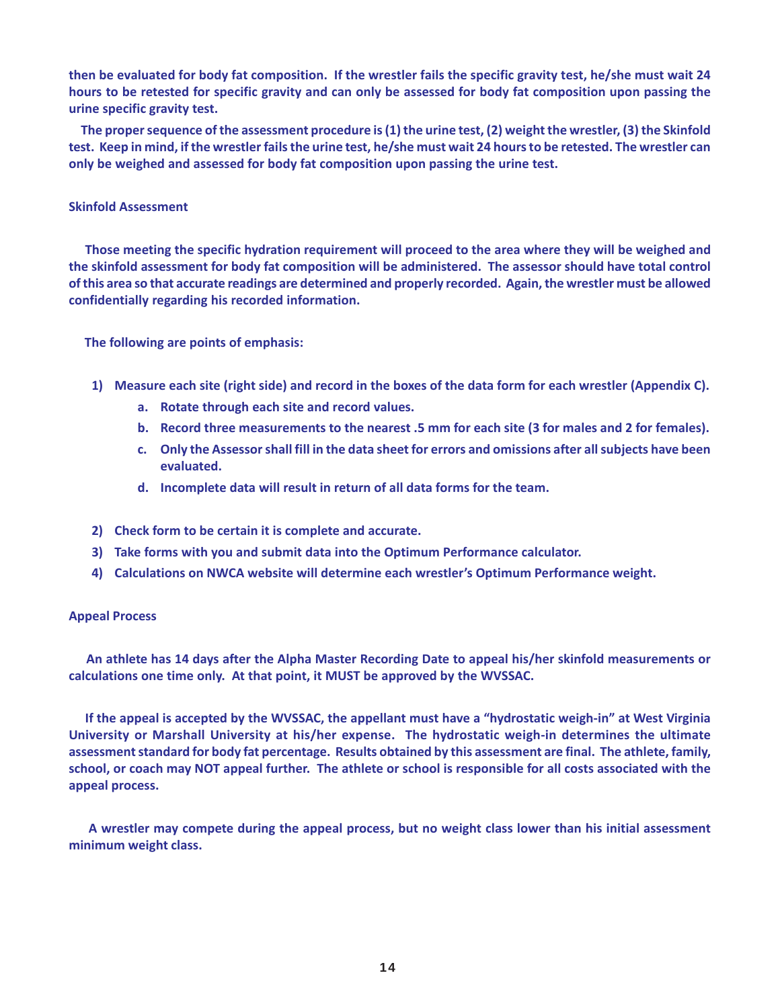**then be evaluated for body fat composition. If the wrestler fails the specific gravity test, he/she must wait 24 hours to be retested for specific gravity and can only be assessed for body fat composition upon passing the urine specific gravity test.**

 **The proper sequence of the assessment procedure is (1) the urine test, (2) weight the wrestler, (3) the Skinfold test. Keep in mind, if the wrestler fails the urine test, he/she must wait 24 hours to be retested. The wrestler can only be weighed and assessed for body fat composition upon passing the urine test.**

#### **Skinfold Assessment**

 **Those meeting the specific hydration requirement will proceed to the area where they will be weighed and the skinfold assessment for body fat composition will be administered. The assessor should have total control of this area so that accurate readings are determined and properly recorded. Again, the wrestler must be allowed confidentially regarding his recorded information.**

 **The following are points of emphasis:**

- **1) Measure each site (right side) and record in the boxes of the data form for each wrestler (Appendix C).**
	- **a. Rotate through each site and record values.**
	- **b. Record three measurements to the nearest .5 mm for each site (3 for males and 2 for females).**
	- **c. Only the Assessor shall fill in the data sheet for errors and omissions after all subjects have been evaluated.**
	- **d. Incomplete data will result in return of all data forms for the team.**
- **2) Check form to be certain it is complete and accurate.**
- **3) Take forms with you and submit data into the Optimum Performance calculator.**
- **4) Calculations on NWCA website will determine each wrestler's Optimum Performance weight.**

#### **Appeal Process**

 **An athlete has 14 days after the Alpha Master Recording Date to appeal his/her skinfold measurements or calculations one time only. At that point, it MUST be approved by the WVSSAC.**

 **If the appeal is accepted by the WVSSAC, the appellant must have a "hydrostatic weigh-in" at West Virginia University or Marshall University at his/her expense. The hydrostatic weigh-in determines the ultimate assessment standard for body fat percentage. Results obtained by this assessment are final. The athlete, family, school, or coach may NOT appeal further. The athlete or school is responsible for all costs associated with the appeal process.**

 **A wrestler may compete during the appeal process, but no weight class lower than his initial assessment minimum weight class.**